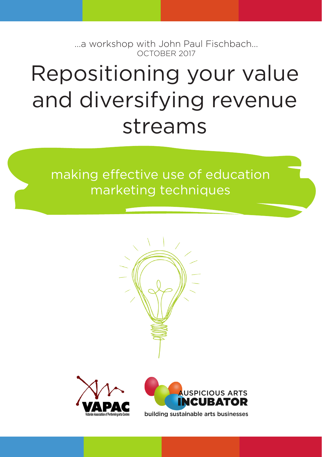...a workshop with John Paul Fischbach... OCTOBER 2017

# Repositioning your value and diversifying revenue streams

making effective use of education marketing techniques



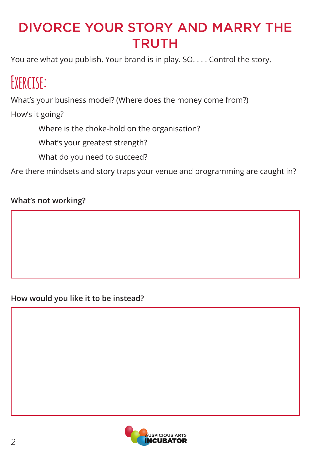### DIVORCE YOUR STORY AND MARRY THE **TRUTH**

You are what you publish. Your brand is in play. SO. . . . Control the story.

## **Exercise:**

What's your business model? (Where does the money come from?)

How's it going?

Where is the choke-hold on the organisation?

What's your greatest strength?

What do you need to succeed?

Are there mindsets and story traps your venue and programming are caught in?

### **What's not working?**

**How would you like it to be instead?**

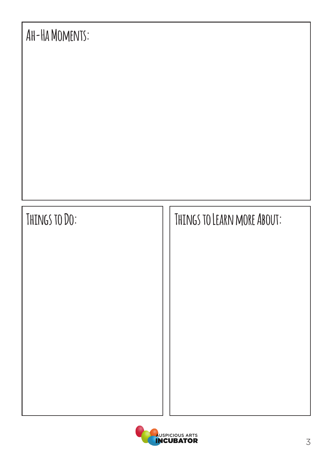

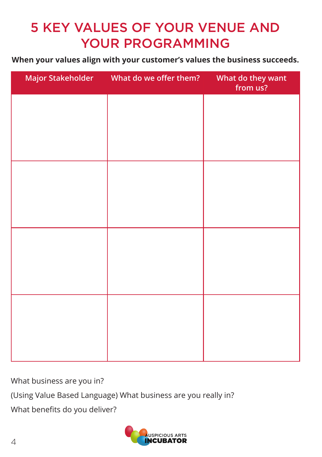### 5 KEY VALUES OF YOUR VENUE AND YOUR PROGRAMMING

**When your values align with your customer's values the business succeeds.**

| Major Stakeholder What do we offer them? | What do they want<br>from us? |
|------------------------------------------|-------------------------------|
|                                          |                               |
|                                          |                               |
|                                          |                               |
|                                          |                               |
|                                          |                               |
|                                          |                               |
|                                          |                               |
|                                          |                               |
|                                          |                               |
|                                          |                               |
|                                          |                               |
|                                          |                               |

What business are you in?

(Using Value Based Language) What business are you really in?

What benefits do you deliver?

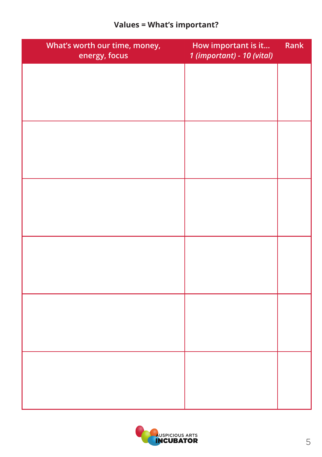### **Values = What's important?**

| What's worth our time, money,<br>energy, focus | How important is it<br>1 (important) - 10 (vital) | Rank |
|------------------------------------------------|---------------------------------------------------|------|
|                                                |                                                   |      |
|                                                |                                                   |      |
|                                                |                                                   |      |
|                                                |                                                   |      |
|                                                |                                                   |      |
|                                                |                                                   |      |
|                                                |                                                   |      |
|                                                |                                                   |      |
|                                                |                                                   |      |
|                                                |                                                   |      |
|                                                |                                                   |      |
|                                                |                                                   |      |
|                                                |                                                   |      |
|                                                |                                                   |      |
|                                                |                                                   |      |

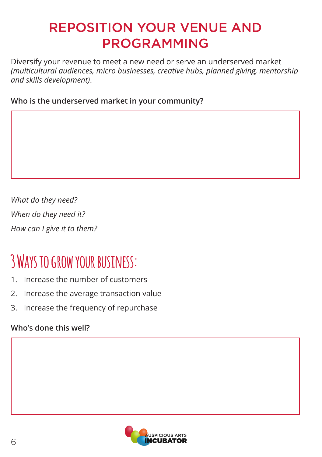### REPOSITION YOUR VENUE AND PROGRAMMING

Diversify your revenue to meet a new need or serve an underserved market *(multicultural audiences, micro businesses, creative hubs, planned giving, mentorship and skills development)*.

**Who is the underserved market in your community?**

*What do they need? When do they need it? How can I give it to them?*

## **3 Ways to grow your business:**

- 1. Increase the number of customers
- 2. Increase the average transaction value
- 3. Increase the frequency of repurchase

### **Who's done this well?**

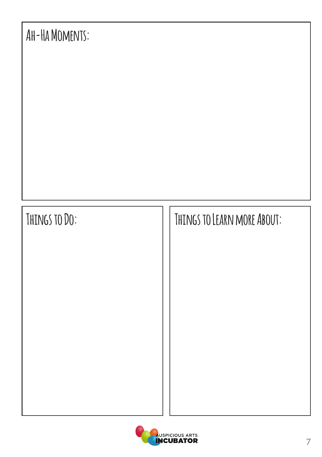

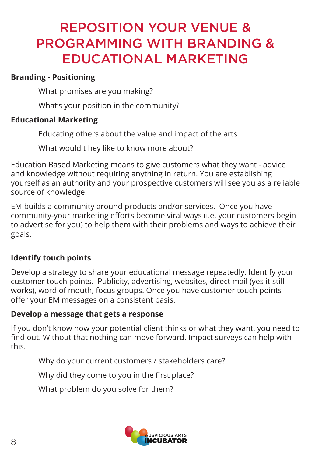### REPOSITION YOUR VENUE & PROGRAMMING WITH BRANDING & EDUCATIONAL MARKETING

#### **Branding - Positioning**

What promises are you making?

What's your position in the community?

#### **Educational Marketing**

Educating others about the value and impact of the arts

What would t hey like to know more about?

Education Based Marketing means to give customers what they want - advice and knowledge without requiring anything in return. You are establishing yourself as an authority and your prospective customers will see you as a reliable source of knowledge.

EM builds a community around products and/or services. Once you have community-your marketing efforts become viral ways (i.e. your customers begin to advertise for you) to help them with their problems and ways to achieve their goals.

### **Identify touch points**

Develop a strategy to share your educational message repeatedly. Identify your customer touch points. Publicity, advertising, websites, direct mail (yes it still works), word of mouth, focus groups. Once you have customer touch points offer your EM messages on a consistent basis.

#### **Develop a message that gets a response**

If you don't know how your potential client thinks or what they want, you need to find out. Without that nothing can move forward. Impact surveys can help with this.

Why do your current customers / stakeholders care?

Why did they come to you in the first place?

What problem do you solve for them?

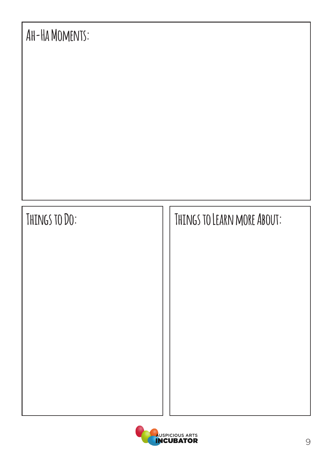

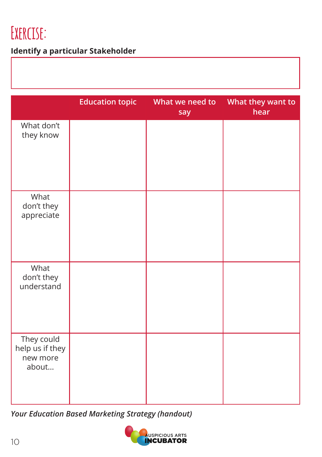## **Exercise:**

### **Identify a particular Stakeholder**

|                                                    | <b>Education topic</b> | What we need to<br>say | What they want to<br>hear |
|----------------------------------------------------|------------------------|------------------------|---------------------------|
| What don't<br>they know                            |                        |                        |                           |
| What<br>don't they<br>appreciate                   |                        |                        |                           |
| What<br>don't they<br>understand                   |                        |                        |                           |
| They could<br>help us if they<br>new more<br>about |                        |                        |                           |

*Your Education Based Marketing Strategy (handout)*

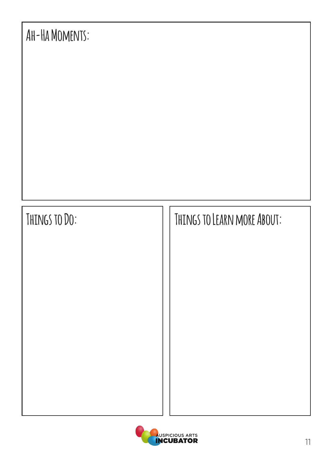

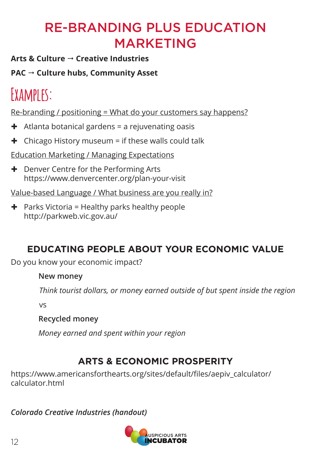### RE-BRANDING PLUS EDUCATION MARKETING

**Arts & Culture Creative Industries**

**PAC → Culture hubs, Community Asset** 

## **Examples:**

Re-branding / positioning = What do your customers say happens?

- $\div$  Atlanta botanical gardens = a rejuvenating oasis
- $\div$  Chicago History museum = if these walls could talk

Education Marketing / Managing Expectations

**+** Denver Centre for the Performing Arts https://www.denvercenter.org/plan-your-visit

Value-based Language / What business are you really in?

 $\div$  Parks Victoria = Healthy parks healthy people http://parkweb.vic.gov.au/

### **EDUCATING PEOPLE ABOUT YOUR ECONOMIC VALUE**

Do you know your economic impact?

### **New money**

*Think tourist dollars, or money earned outside of but spent inside the region*

vs

**Recycled money**

*Money earned and spent within your region*

### **ARTS & ECONOMIC PROSPERITY**

https://www.americansforthearts.org/sites/default/files/aepiv\_calculator/ calculator.html

*Colorado Creative Industries (handout)*

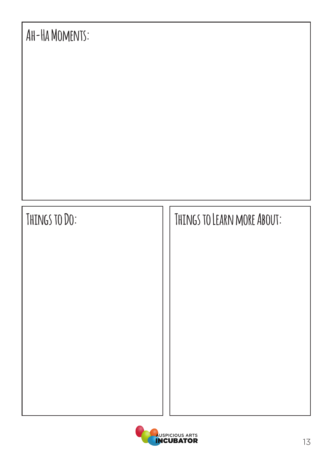

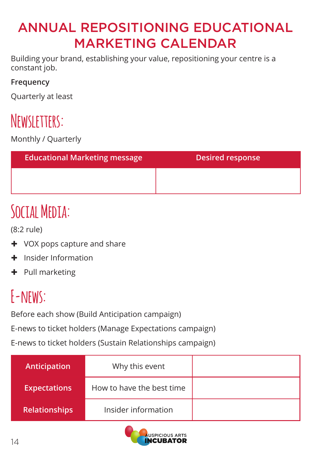### ANNUAL REPOSITIONING EDUCATIONAL MARKETING CALENDAR

Building your brand, establishing your value, repositioning your centre is a constant job.

### **Frequency**

Quarterly at least

## **Newsletters:**

Monthly / Quarterly

| <b>Educational Marketing message</b> | <b>Desired response</b> |
|--------------------------------------|-------------------------|
|                                      |                         |

## **Social Media:**

(8:2 rule)

- + VOX pops capture and share
- $\pm$  Insider Information
- $+$  Pull marketing

## **E-news:**

Before each show (Build Anticipation campaign)

E-news to ticket holders (Manage Expectations campaign)

E-news to ticket holders (Sustain Relationships campaign)

| Anticipation         | Why this event            |  |
|----------------------|---------------------------|--|
| <b>Expectations</b>  | How to have the best time |  |
| <b>Relationships</b> | Insider information       |  |

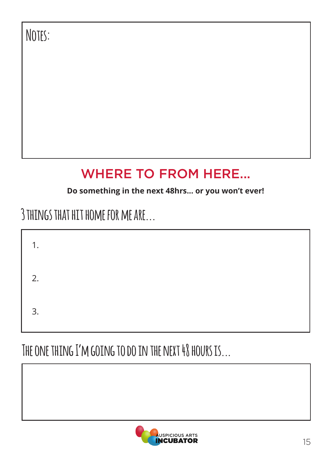**Notes:**

## WHERE TO FROM HERE...

### **Do something in the next 48hrs... or you won't ever!**

### **3 things that hit home for me are...**

| 1. |  |  |  |
|----|--|--|--|
| 2. |  |  |  |
| 3. |  |  |  |

## **The one thing I'm going to do in the next 48 hours is...**